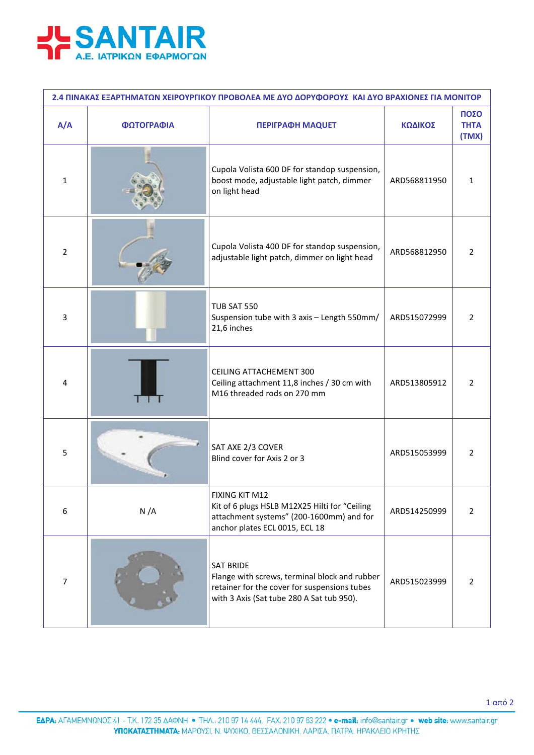

| 2.4 ΠΙΝΑΚΑΣ ΕΞΑΡΤΗΜΑΤΩΝ ΧΕΙΡΟΥΡΓΙΚΟΥ ΠΡΟΒΟΛΕΑ ΜΕ ΔΥΟ ΔΟΡΥΦΟΡΟΥΣ ΚΑΙ ΔΥΟ ΒΡΑΧΙΟΝΕΣ ΓΙΑ ΜΟΝΙΤΟΡ |            |                                                                                                                                                                |              |                              |  |  |  |
|-----------------------------------------------------------------------------------------------|------------|----------------------------------------------------------------------------------------------------------------------------------------------------------------|--------------|------------------------------|--|--|--|
| A/A                                                                                           | ΦΩΤΟΓΡΑΦΙΑ | <b>ΠΕΡΙΓΡΑΦΗ ΜΑQUET</b>                                                                                                                                        | ΚΩΔΙΚΟΣ      | ΠΟΣΟ<br><b>THTA</b><br>(TMX) |  |  |  |
| 1                                                                                             |            | Cupola Volista 600 DF for standop suspension,<br>boost mode, adjustable light patch, dimmer<br>on light head                                                   | ARD568811950 | 1                            |  |  |  |
| $\overline{2}$                                                                                |            | Cupola Volista 400 DF for standop suspension,<br>adjustable light patch, dimmer on light head                                                                  | ARD568812950 | $\overline{2}$               |  |  |  |
| 3                                                                                             |            | <b>TUB SAT 550</b><br>Suspension tube with 3 axis - Length 550mm/<br>21,6 inches                                                                               | ARD515072999 | $\overline{2}$               |  |  |  |
| 4                                                                                             |            | <b>CEILING ATTACHEMENT 300</b><br>Ceiling attachment 11,8 inches / 30 cm with<br>M16 threaded rods on 270 mm                                                   | ARD513805912 | $\overline{2}$               |  |  |  |
| 5                                                                                             |            | SAT AXE 2/3 COVER<br>Blind cover for Axis 2 or 3                                                                                                               | ARD515053999 | 2                            |  |  |  |
| 6                                                                                             | N/A        | FIXING KIT M12<br>Kit of 6 plugs HSLB M12X25 Hilti for "Ceiling<br>attachment systems" (200-1600mm) and for<br>anchor plates ECL 0015, ECL 18                  | ARD514250999 | $\overline{2}$               |  |  |  |
| $\overline{7}$                                                                                |            | <b>SAT BRIDE</b><br>Flange with screws, terminal block and rubber<br>retainer for the cover for suspensions tubes<br>with 3 Axis (Sat tube 280 A Sat tub 950). | ARD515023999 | $\overline{2}$               |  |  |  |